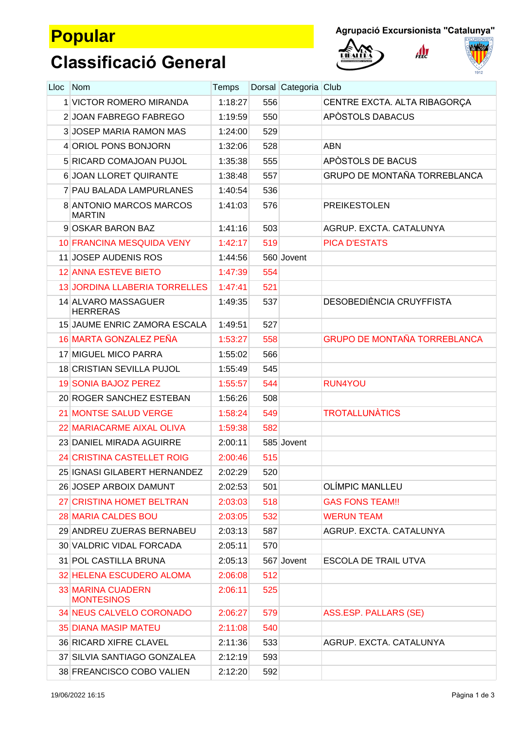## **Popular**

 $\mathbf{A}$ 





# **Classificació General**

| Lloc | Nom                                           | Temps   |     | Dorsal Categoria Club |                                     |
|------|-----------------------------------------------|---------|-----|-----------------------|-------------------------------------|
|      | 1 VICTOR ROMERO MIRANDA                       | 1:18:27 | 556 |                       | CENTRE EXCTA. ALTA RIBAGORÇA        |
|      | 2 JOAN FABREGO FABREGO                        | 1:19:59 | 550 |                       | APÒSTOLS DABACUS                    |
|      | <b>3 JOSEP MARIA RAMON MAS</b>                | 1:24:00 | 529 |                       |                                     |
|      | 4 ORIOL PONS BONJORN                          | 1:32:06 | 528 |                       | <b>ABN</b>                          |
|      | 5 RICARD COMAJOAN PUJOL                       | 1:35:38 | 555 |                       | APÒSTOLS DE BACUS                   |
|      | 6 JOAN LLORET QUIRANTE                        | 1:38:48 | 557 |                       | <b>GRUPO DE MONTAÑA TORREBLANCA</b> |
|      | 7 PAU BALADA LAMPURLANES                      | 1:40:54 | 536 |                       |                                     |
|      | 8 ANTONIO MARCOS MARCOS<br><b>MARTIN</b>      | 1:41:03 | 576 |                       | <b>PREIKESTOLEN</b>                 |
|      | 9 OSKAR BARON BAZ                             | 1:41:16 | 503 |                       | AGRUP. EXCTA. CATALUNYA             |
|      | <b>10 FRANCINA MESQUIDA VENY</b>              | 1:42:17 | 519 |                       | <b>PICA D'ESTATS</b>                |
|      | 11 JOSEP AUDENIS ROS                          | 1:44:56 |     | 560 Jovent            |                                     |
|      | <b>12 ANNA ESTEVE BIETO</b>                   | 1:47:39 | 554 |                       |                                     |
|      | <b>13 JORDINA LLABERIA TORRELLES</b>          | 1:47:41 | 521 |                       |                                     |
|      | <b>14 ALVARO MASSAGUER</b><br><b>HERRERAS</b> | 1:49:35 | 537 |                       | DESOBEDIÈNCIA CRUYFFISTA            |
|      | <b>15 JAUME ENRIC ZAMORA ESCALA</b>           | 1:49:51 | 527 |                       |                                     |
|      | 16 MARTA GONZALEZ PEÑA                        | 1:53:27 | 558 |                       | <b>GRUPO DE MONTAÑA TORREBLANCA</b> |
|      | <b>17 MIGUEL MICO PARRA</b>                   | 1:55:02 | 566 |                       |                                     |
|      | 18 CRISTIAN SEVILLA PUJOL                     | 1:55:49 | 545 |                       |                                     |
|      | <b>19 SONIA BAJOZ PEREZ</b>                   | 1:55:57 | 544 |                       | RUN4YOU                             |
|      | 20 ROGER SANCHEZ ESTEBAN                      | 1:56:26 | 508 |                       |                                     |
|      | <b>21 MONTSE SALUD VERGE</b>                  | 1:58:24 | 549 |                       | <b>TROTALLUNÀTICS</b>               |
|      | 22 MARIACARME AIXAL OLIVA                     | 1:59:38 | 582 |                       |                                     |
|      | 23 DANIEL MIRADA AGUIRRE                      | 2:00:11 |     | 585 Jovent            |                                     |
|      | <b>24 CRISTINA CASTELLET ROIG</b>             | 2:00:46 | 515 |                       |                                     |
|      | 25 IGNASI GILABERT HERNANDEZ                  | 2:02:29 | 520 |                       |                                     |
|      | 26 JOSEP ARBOIX DAMUNT                        | 2:02:53 | 501 |                       | OLÍMPIC MANLLEU                     |
|      | 27 CRISTINA HOMET BELTRAN                     | 2:03:03 | 518 |                       | <b>GAS FONS TEAM!!</b>              |
|      | <b>28 MARIA CALDES BOU</b>                    | 2:03:05 | 532 |                       | <b>WERUN TEAM</b>                   |
|      | 29 ANDREU ZUERAS BERNABEU                     | 2:03:13 | 587 |                       | AGRUP. EXCTA. CATALUNYA             |
|      | 30 VALDRIC VIDAL FORCADA                      | 2:05:11 | 570 |                       |                                     |
|      | 31 POL CASTILLA BRUNA                         | 2:05:13 |     | 567 Jovent            | <b>ESCOLA DE TRAIL UTVA</b>         |
|      | 32 HELENA ESCUDERO ALOMA                      | 2:06:08 | 512 |                       |                                     |
|      | <b>33 MARINA CUADERN</b><br><b>MONTESINOS</b> | 2:06:11 | 525 |                       |                                     |
|      | <b>34 NEUS CALVELO CORONADO</b>               | 2:06:27 | 579 |                       | ASS.ESP. PALLARS (SE)               |
|      | <b>35 DIANA MASIP MATEU</b>                   | 2:11:08 | 540 |                       |                                     |
|      | <b>36 RICARD XIFRE CLAVEL</b>                 | 2:11:36 | 533 |                       | AGRUP. EXCTA. CATALUNYA             |
|      | 37 SILVIA SANTIAGO GONZALEA                   | 2:12:19 | 593 |                       |                                     |
|      | 38 FREANCISCO COBO VALIEN                     | 2:12:20 | 592 |                       |                                     |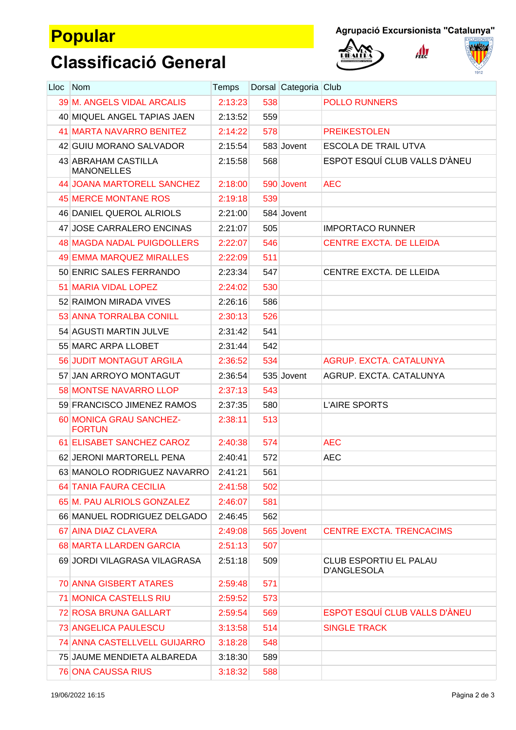## **Popular**

 $\mathbf{A}$ 





## **Classificació General**

| Lloc | <b>Nom</b>                               | Temps   |     | Dorsal Categoria Club |                                              |
|------|------------------------------------------|---------|-----|-----------------------|----------------------------------------------|
|      | <b>39 M. ANGELS VIDAL ARCALIS</b>        | 2:13:23 | 538 |                       | <b>POLLO RUNNERS</b>                         |
|      | 40 MIQUEL ANGEL TAPIAS JAEN              | 2:13:52 | 559 |                       |                                              |
|      | <b>41 MARTA NAVARRO BENITEZ</b>          | 2:14:22 | 578 |                       | <b>PREIKESTOLEN</b>                          |
|      | 42 GUIU MORANO SALVADOR                  | 2:15:54 |     | 583 Jovent            | <b>ESCOLA DE TRAIL UTVA</b>                  |
|      | 43 ABRAHAM CASTILLA<br><b>MANONELLES</b> | 2:15:58 | 568 |                       | ESPOT ESQUÍ CLUB VALLS D'ÀNEU                |
|      | <b>44 JOANA MARTORELL SANCHEZ</b>        | 2:18:00 |     | 590 Jovent            | <b>AEC</b>                                   |
|      | <b>45 MERCE MONTANE ROS</b>              | 2:19:18 | 539 |                       |                                              |
|      | 46 DANIEL QUEROL ALRIOLS                 | 2:21:00 |     | 584 Jovent            |                                              |
|      | 47 JOSE CARRALERO ENCINAS                | 2:21:07 | 505 |                       | <b>IMPORTACO RUNNER</b>                      |
|      | <b>48 MAGDA NADAL PUIGDOLLERS</b>        | 2:22:07 | 546 |                       | <b>CENTRE EXCTA. DE LLEIDA</b>               |
|      | <b>49 EMMA MARQUEZ MIRALLES</b>          | 2:22:09 | 511 |                       |                                              |
|      | 50 ENRIC SALES FERRANDO                  | 2:23:34 | 547 |                       | CENTRE EXCTA. DE LLEIDA                      |
|      | <b>51 MARIA VIDAL LOPEZ</b>              | 2:24:02 | 530 |                       |                                              |
|      | 52 RAIMON MIRADA VIVES                   | 2:26:16 | 586 |                       |                                              |
|      | 53 ANNA TORRALBA CONILL                  | 2:30:13 | 526 |                       |                                              |
|      | 54 AGUSTI MARTIN JULVE                   | 2:31:42 | 541 |                       |                                              |
|      | 55 MARC ARPA LLOBET                      | 2:31:44 | 542 |                       |                                              |
|      | <b>56 JUDIT MONTAGUT ARGILA</b>          | 2:36:52 | 534 |                       | AGRUP. EXCTA. CATALUNYA                      |
|      | 57 JAN ARROYO MONTAGUT                   | 2:36:54 |     | 535 Jovent            | AGRUP. EXCTA. CATALUNYA                      |
|      | <b>58 MONTSE NAVARRO LLOP</b>            | 2:37:13 | 543 |                       |                                              |
|      | 59 FRANCISCO JIMENEZ RAMOS               | 2:37:35 | 580 |                       | <b>L'AIRE SPORTS</b>                         |
|      | 60 MONICA GRAU SANCHEZ-<br><b>FORTUN</b> | 2:38:11 | 513 |                       |                                              |
|      | 61 ELISABET SANCHEZ CAROZ                | 2:40:38 | 574 |                       | <b>AEC</b>                                   |
|      | 62 JERONI MARTORELL PENA                 | 2:40:41 | 572 |                       | <b>AEC</b>                                   |
|      | 63 MANOLO RODRIGUEZ NAVARRO              | 2:41:21 | 561 |                       |                                              |
|      | <b>64 TANIA FAURA CECILIA</b>            | 2:41:58 | 502 |                       |                                              |
|      | 65 M. PAU ALRIOLS GONZALEZ               | 2:46:07 | 581 |                       |                                              |
|      | 66 MANUEL RODRIGUEZ DELGADO              | 2:46:45 | 562 |                       |                                              |
|      | 67 AINA DIAZ CLAVERA                     | 2:49:08 |     | 565 Jovent            | <b>CENTRE EXCTA. TRENCACIMS</b>              |
|      | 68 MARTA LLARDEN GARCIA                  | 2:51:13 | 507 |                       |                                              |
|      | 69 JORDI VILAGRASA VILAGRASA             | 2:51:18 | 509 |                       | CLUB ESPORTIU EL PALAU<br><b>D'ANGLESOLA</b> |
|      | <b>70 ANNA GISBERT ATARES</b>            | 2:59:48 | 571 |                       |                                              |
|      | <b>71 MONICA CASTELLS RIU</b>            | 2:59:52 | 573 |                       |                                              |
|      | <b>72 ROSA BRUNA GALLART</b>             | 2:59:54 | 569 |                       | ESPOT ESQUÍ CLUB VALLS D'ÀNEU                |
|      | <b>73 ANGELICA PAULESCU</b>              | 3:13:58 | 514 |                       | <b>SINGLE TRACK</b>                          |
|      | <b>74 ANNA CASTELLVELL GUIJARRO</b>      | 3:18:28 | 548 |                       |                                              |
|      | 75 JAUME MENDIETA ALBAREDA               | 3:18:30 | 589 |                       |                                              |
|      | <b>76 ONA CAUSSA RIUS</b>                | 3:18:32 | 588 |                       |                                              |
|      |                                          |         |     |                       |                                              |